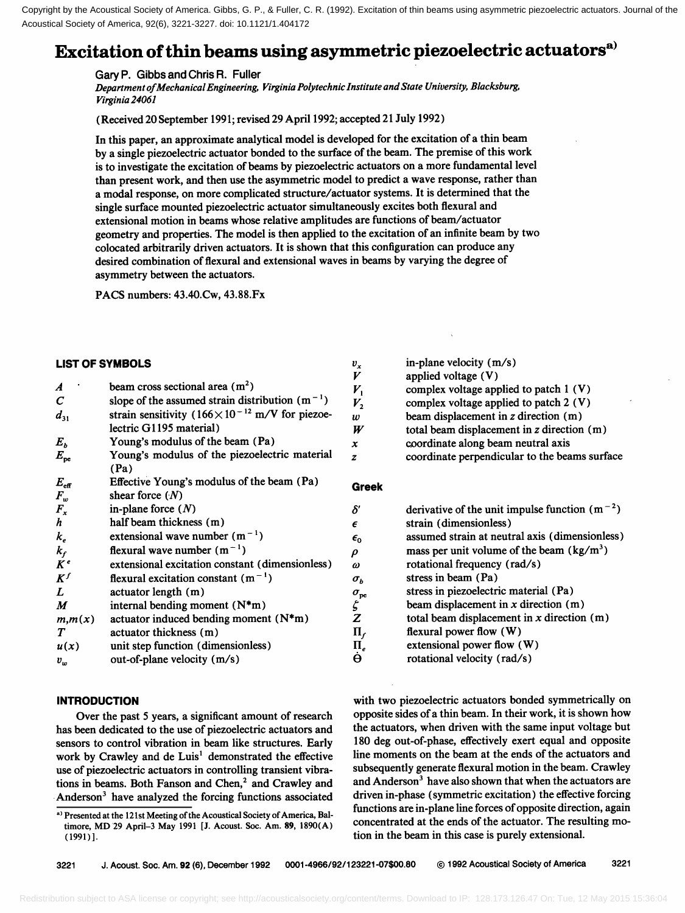Copyright by the Acoustical Society of America. Gibbs, G. P., & Fuller, C. R. (1992). Excitation of thin beams using asymmetric piezoelectric actuators. Journal of the Acoustical Society of America, 92(6), 3221-3227. doi: 10.1121/1.404172

# **Excitation of thin beams using asymmetric piezoelectric actuators**

**Gary P. Gibbs and Chris R. Fuller** 

**Department of Mechanical Engineering, Virginia Polytechnic Institute and State University, Blacksburg, Virginia 24061** 

**(Received 20 September 1991; revised 29 April 1992; accepted 21 July 1992 )**

**In this paper, an approximate analytical model is developed for the excitation of a thin beam by a single piezoelectric actuator bonded to the surface of the beam. The premise of this work is to investigate the excitation of beams by piezoelectric actuators on a more fundamental level than present work, and then use the asymmetric model to predict a wave response, rather than a modal response, on more complicated structure/actuator systems. It is determined that the single surface mounted piezoelectric actuator simultaneously excites both flexural and extensional motion in beams whose relative amplitudes are functions of beam/actuator geometry and properties. The model is then applied to the excitation of an infinite beam by two colocated arbitrarily driven actuators. It is shown that this configuration can produce any desired combination of flexural and extensional waves in beams by varying the degree of asymmetry between the actuators.** 

**PACS numbers: 43.40.Cw, 43.88.Fx** 

# **LIST OF SYMBOLS**

| $\boldsymbol{A}$ | beam cross sectional area $(m2)$                                  |
|------------------|-------------------------------------------------------------------|
| $\mathcal C$     | slope of the assumed strain distribution $(m^{-1})$               |
| $d_{31}$         | strain sensitivity $(166 \times 10^{-12} \text{ m/V}$ for piezoe- |
|                  | lectric G1195 material)                                           |
| $E_b$            | Young's modulus of the beam (Pa)                                  |
| $E_{pe}$         | Young's modulus of the piezoelectric material                     |
|                  | (Pa)                                                              |
| $E_{\rm eff}$    | Effective Young's modulus of the beam (Pa)                        |
| $F_{w}$          | shear force $(N)$                                                 |
| $F_{x}$          | in-plane force $(N)$                                              |
| $\boldsymbol{h}$ | half beam thickness (m)                                           |
| $k_e$            | extensional wave number $(m^{-1})$                                |
| $k_f$            | flexural wave number $(m^{-1})$                                   |
| $\overline{K}^e$ | extensional excitation constant (dimensionless)                   |
| $K^f$            | flexural excitation constant $(m^{-1})$                           |
| $\boldsymbol{L}$ | actuator length (m)                                               |
| M                | internal bending moment $(N*m)$                                   |
| m,m(x)           | actuator induced bending moment $(N*m)$                           |
| T                | actuator thickness (m)                                            |
| u(x)             | unit step function (dimensionless)                                |
| $v_w$            | out-of-plane velocity (m/s)                                       |

## **INTRODUCTION**

**Over the past 5 years, a significant amount of research has been dedicated to the use of piezoelectric actuators and sensors to control vibration in beam like structures. Early**  work by Crawley and de Luis<sup>1</sup> demonstrated the effective **use of piezoelectric actuators in controlling transient vibra**tions in beams. Both Fanson and Chen,<sup>2</sup> and Crawley and Anderson<sup>3</sup> have analyzed the forcing functions associated

| in-plane velocity (m/s)                        |
|------------------------------------------------|
| applied voltage (V)                            |
| complex voltage applied to patch $1(V)$        |
| complex voltage applied to patch 2 (V)         |
| beam displacement in z direction (m)           |
| total beam displacement in $z$ direction $(m)$ |
| coordinate along beam neutral axis             |
| coordinate perpendicular to the beams surface  |

## **Greek**

 $\sigma_b$ 

 $\delta'$  $\epsilon$  $\epsilon_0$  $\rho$  $\omega$ 

 $\frac{v_x}{V}$ 

 $\overline{V}_1$  $V<sub>2</sub>$  $\boldsymbol{w}$  $W$  $\boldsymbol{x}$  $\overline{z}$ 

| $\delta'$                       | derivative of the unit impulse function $(m^{-2})$ |
|---------------------------------|----------------------------------------------------|
| $\epsilon$                      | strain (dimensionless)                             |
| $\epsilon_{0}$                  | assumed strain at neutral axis (dimensionless)     |
| ρ                               | mass per unit volume of the beam $(kg/m3)$         |
| $\omega$                        | rotational frequency (rad/s)                       |
| $\sigma_{h}$                    | stress in beam (Pa)                                |
|                                 | stress in piezoelectric material (Pa)              |
| $\frac{\sigma_{\rm pe}}{\zeta}$ | beam displacement in $x$ direction $(m)$           |
| Z                               | total beam displacement in $x$ direction $(m)$     |
| $\Pi_f$                         | flexural power flow $(W)$                          |
| $\Pi_e$                         | extensional power flow (W)                         |
|                                 | rotational velocity (rad/s)                        |
|                                 |                                                    |

**with two piezoelectric actuators bonded symmetrically on opposite sides of a thin beam. In their work, it is shown how the actuators, when driven with the same input voltage but 180 deg out-of-phase, effectively exert equal and opposite line moments on the beam at the ends of the actuators and subsequently generate flexural motion in the beam. Crawley**  and Anderson<sup>3</sup> have also shown that when the actuators are **driven in-phase (symmetric excitation) the effective forcing functions are in-plane line forces of opposite direction, again concentrated at the ends of the actuator. The resulting motion in the beam in this case is purely extensional.** 

**a) Presented at the 121st Meeting of the Acoustical Society of America, Baltimore, MD 29 April-3 May 1991 [J. Acoust. Soc. Am. 89, 1890(A) (1991)].**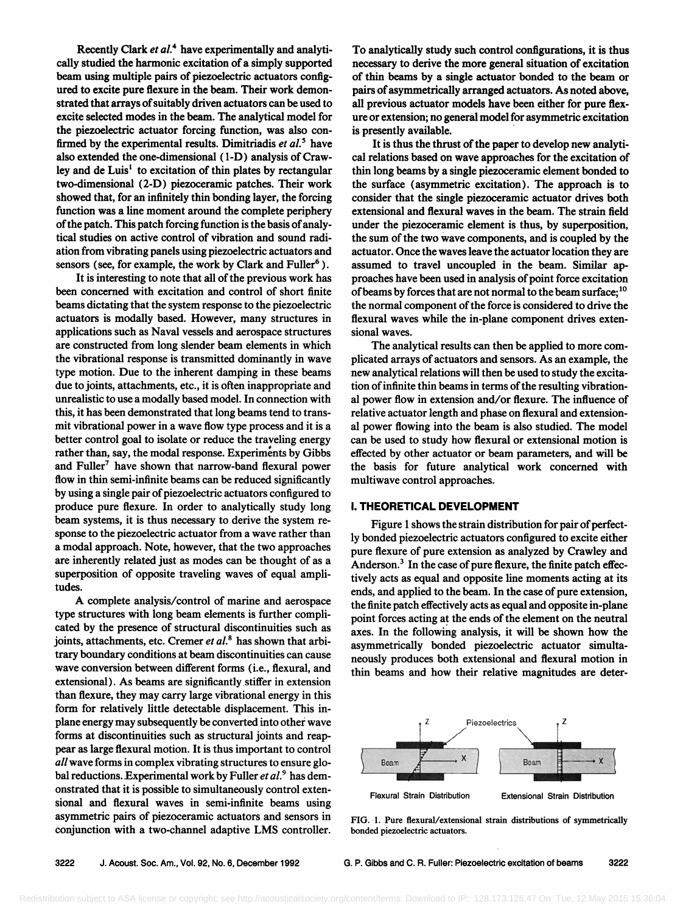Recently Clark et al.<sup>4</sup> have experimentally and analyti**cally studied the harmonic excitation of a simply supported beam using multiple pairs of piezoelectric actuators configured to excite pure flexure in the beam. Their work demonstrated that arrays of suitably driven actuators can be used to excite selected modes in the beam. The analytical model for the piezoelectric actuator forcing function, was also con**firmed by the experimental results. Dimitriadis et al.<sup>5</sup> have **also extended the one-dimensional (l-D) analysis of Craw**ley and de Luis<sup>1</sup> to excitation of thin plates by rectangular **two-dimensional (2-D) piezoceramic patches. Their work showed that, for an infinitely thin bonding layer, the forcing function was a line moment around the complete periphery of the patch. This patch forcing function is the basis of analytical studies on active control of vibration and sound radiation from vibrating panels using piezoelectric actuators and**  sensors (see, for example, the work by Clark and Fuller<sup>6</sup>).

**It is interesting to note that all of the previous work has been concerned with excitation and control of short finite beams dictating that the system response to the piezoelectric actuators is modally based. However, many structures in applications such as Naval vessels and aerospace structures are constructed from long slender beam elements in which the vibrational response is transmitted dominantly in wave type motion. Due to the inherent damping in these beams due to joints, attachments, etc., it is often inappropriate and unrealistic to use a modally based model. In connection with this, it has been demonstrated that long beams tend to transmit vibrational power in a wave flow type process and it is a better control goal to isolate or reduce the traveling energy rather than, say, the modal response. Experiments by Gibbs**  and Fuller<sup>7</sup> have shown that narrow-band flexural power **flow in thin semi-infinite beams can be reduced significantly by using a single pair of piezoelectric actuators configured to produce pure flexure. In order to analytically study long beam systems, it is thus necessary to derive the system response to the piezoelectric actuator from a wave rather than a modal approach. Note, however, that the two approaches are inherently related just as modes can be thought of as a superposition of opposite traveling waves of equal amplitudes.** 

**A complete analysis/control of marine and aerospace type structures with long beam elements is further complicated by the presence of structural discontinuities such as**  joints, attachments, etc. Cremer et al.<sup>8</sup> has shown that arbi**trary boundary conditions at beam discontinuities can cause wave conversion between different forms (i.e., flexural, and extensional). As beams are significantly.stiffer in extension than flexure, they may carry large vibrational energy in this form for relatively little detectable displacement. This inplane energy may subsequently be converted into other wave forms at discontinuities such as structural joints and reappear as large flexural motion. It is thus important to control all wave forms in complex vibrating structures to ensure global reductions. Experimental work by Fuller et al. 9 has demonstrated that it is possible to simultaneously control extensional and flexural waves in semi-infinite beams using asymmetric pairs of piezoceramic actuators and sensors in conjunction with a two-channel adaptive LMS controller.** 

**To analytically study such control configurations, it is thus necessary to derive the more general situation of excitation of thin beams by a single actuator bonded to the beam or pairs of asymmetrically arranged actuators. As noted above, all previous actuator models have been either for pure flexure or extension; no general model for asymmetric excitation is presently available.** 

**It is thus the thrust of the paper to develop new analytical relations based on wave approaches for the excitation of thin long beams by a single piezoceramic element bonded to the surface (asymmetric excitation). The approach is to consider that the single piezoceramic actuator drives both extensional and flexural waves in the beam. The strain field under the piezoceramic element is thus, by superposition, the sum of the two wave components, and is coupled by the actuator. Once the waves leave the actuator location they are assumed to travel uncoupled in the beam. Similar approaches have been used in analysis of point force excitation of beams by forces that are not normal to the beam surface; •o the normal component of the force is considered to drive the flexural waves while the in-plane component drives extensional waves.** 

**The analytical results can then be applied to more complicated arrays of actuators and sensors. As an example, the new analytical relations will then be used to study the excitation of infinite thin beams in terms of the resulting vibrational power flow in extension and/or flexure. The influence of relative actuator length and phase on flexural and extensional power flowing into the beam is also studied. The model can be used to study how flexural or extensional motion is effected by other actuator or beam parameters, and will be the basis for future analytical work concerned with multiwave control approaches.** 

#### **I. THEORETICAL DEVELOPMENT**

**Figure 1 shows the strain distribution for pair of perfectly bonded piezoelectric actuators configured to excite either pure flexure of pure extension as analyzed by Crawley and Anderson. 3 In the case of pure flexure, the finite patch effectively acts as equal and opposite line moments acting at its ends, and applied to the beam. In the case of pure extension, the finite patch effectively acts as equal and opposite in-plane point forces acting at the ends of the element on the neutral axes. In the followihg analysis, it will be shown how the asymmetrically bonded piezoelectric actuator simultaneously produces both extensional and flexural motion in thin beams and how their relative magnitudes are deter-**



**FIG. 1. Pure flexural/extensional strain distributions of symmetrically bonded piezoelectric actuators.**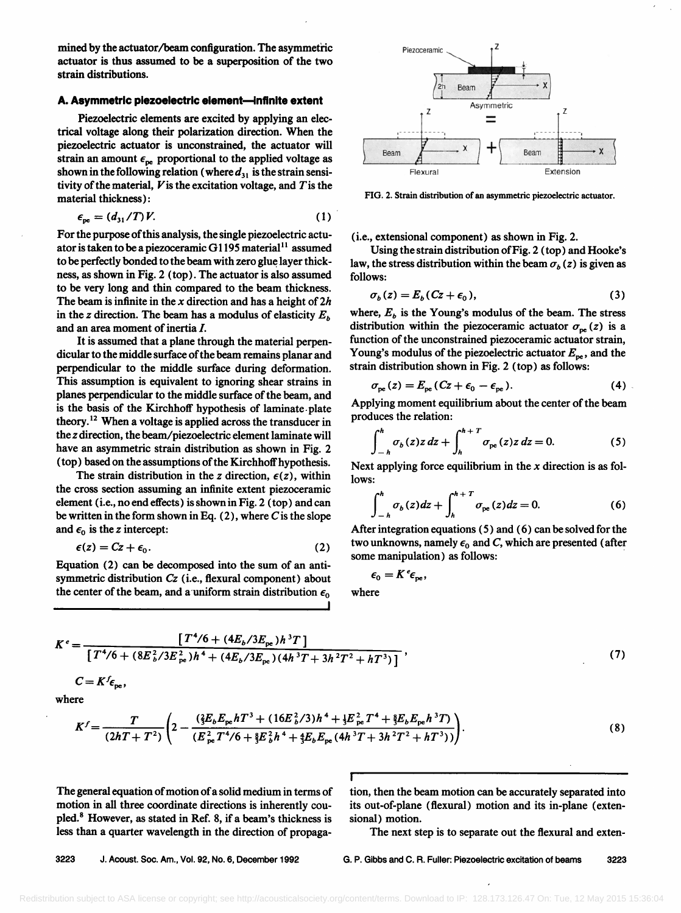mined by the actuator/beam configuration. The asymmetric **actuator is thus assumed to be a superposition of the two strain distributions.** 

#### **A. Asymmetric piezoelectric element--infinite extent**

**Piezoelectric elements are excited by applying an electrical voltage along their polarization direction. When the piezoelectric actuator is unconstrained, the actuator will**  strain an amount  $\epsilon_{\text{ne}}$  proportional to the applied voltage as shown in the following relation (where  $d_{31}$  is the strain sensi**tivity of the material, Vis the excitation voltage, and Tis the material thickness):** 

$$
\epsilon_{\rm pe} = (d_{31}/T)V. \tag{1}
$$

**For the purpose of this analysis, the single piezoelectric actuator is taken to be a piezoceramic G 1195 material • assumed to be perfectly bonded to the beam with zero glue layer thickness, as shown in Fig. 2 (top). The actuator is also assumed to be very long and thin compared to the beam thickness. The beam is infinite in the x direction and has a height of 2h**  in the z direction. The beam has a modulus of elasticity  $E<sub>b</sub>$ **and an area moment of inertia L** 

**It is assumed that a plane through the material perpendicular to the middle surface of the beam remains planar and perpendicular to the middle surface during deformation.**  This assumption is equivalent to ignoring shear strains in **planes perpendicular to the middle surface of the beam, and is the basis of the Kirchhoff hypothesis of laminate.plate theory. •2 When a voltage is applied across the transducer in the z direction, the beam/piezoelectric element laminate will have an asymmetric strain distribution as shown in Fig. 2 (top) based on the assumptions of the Kirchhoff hypothesis.** 

The strain distribution in the *z* direction,  $\epsilon(z)$ , within **the cross section assuming an infinite extent piezoceramic element (i.e., no end effects) is shown in Fig. 2 (top) and can be written in the form shown in Eq. (2), where C is the slope**  and  $\epsilon_0$  is the *z* intercept:

$$
\epsilon(z) = Cz + \epsilon_0. \tag{2}
$$

**Equation (2) can be decomposed into the sum of an antisymmetric distribution Cz (i.e., flexural component) about**  the center of the beam, and a uniform strain distribution  $\epsilon_0$ 

**,, [** 



**FIG. 2. Strain distribution of an asymmetric piezoelectric actuator.** 

**(i.e., extensional component) as shown in Fig. 2.** 

**Using the strain distribution of Fig. 2 (top) and Hooke's**  law, the stress distribution within the beam  $\sigma_b(z)$  is given as **follows:** 

$$
\sigma_b(z) = E_b(Cz + \epsilon_0),\tag{3}
$$

where,  $E_b$  is the Young's modulus of the beam. The stress distribution within the piezoceramic actuator  $\sigma_{\text{pe}}(z)$  is a **function of the unconstrained piezoceramic actuator strain,**  Young's modulus of the piezoelectric actuator  $E_{\text{pe}}$ , and the **strain distribution shown in Fig. 2 (top) as follows:** 

$$
\sigma_{\rm pe}(z) = E_{\rm pe}(Cz + \epsilon_0 - \epsilon_{\rm pe}). \tag{4}
$$

**Applying moment equilibrium about the center of the beam produces the relation:** 

$$
\int_{-h}^{h} \sigma_b(z) z \, dz + \int_{h}^{h+T} \sigma_{\rm pe}(z) z \, dz = 0. \tag{5}
$$

**Next applying force equilibrium in the x direction is as follows:** 

$$
\int_{-h}^{h} \sigma_b(z) dz + \int_{h}^{h+T} \sigma_{pe}(z) dz = 0.
$$
 (6)

**After integration equations (5) and (6) can be solved for the**  two unknowns, namely  $\epsilon_0$  and C, which are presented (after **some manipulation) as follows:** 

$$
\epsilon_{0}=K^{e}\epsilon_{pe},
$$

**where** 

$$
K^{e} = \frac{\left[T^{4}/6 + (4E_b/3E_{pe})h^{3}T\right]}{\left[T^{4}/6 + (8E_b^{2}/3E_{pe}^{2})h^{4} + (4E_b/3E_{pe})(4h^{3}T + 3h^{2}T^{2} + hT^{3})\right]},
$$
\n(7)

$$
C=K^f\epsilon_{\rm pe},
$$

**where** 

$$
K^{f} = \frac{T}{(2hT + T^{2})} \left( 2 - \frac{(\frac{2}{3}E_{b}E_{pe}hT^{3} + (16E_{b}^{2}/3)h^{4} + \frac{1}{3}E_{pe}^{2}T^{4} + \frac{8}{3}E_{b}E_{pe}h^{3}T)}{(E_{pe}^{2}T^{4}/6 + \frac{8}{3}E_{b}^{2}h^{4} + \frac{4}{3}E_{b}E_{pe}(4h^{3}T + 3h^{2}T^{2} + hT^{3}))} \right).
$$
\n(8)

**!** 

**The general equation of motion of a solid medium in terms of motion in all three coordinate directions is inherently coupled. 8 However, as stated in Ref. 8, if a beam's thickness is less than a quarter wavelength in the direction of propaga-**  **tion, then the beam motion can be accurately separated into its out-of-plane (flexural) motion and its in-plane (extensional) motion.** 

**The next step is to separate out the flexural and exten-**

**3223 J. Acoust. \$oc. Am., Vol. 92, No. 6, December 1992 G.P. Gibbs and C. R..Fuller: Piezoelectric excitation of beams 3223**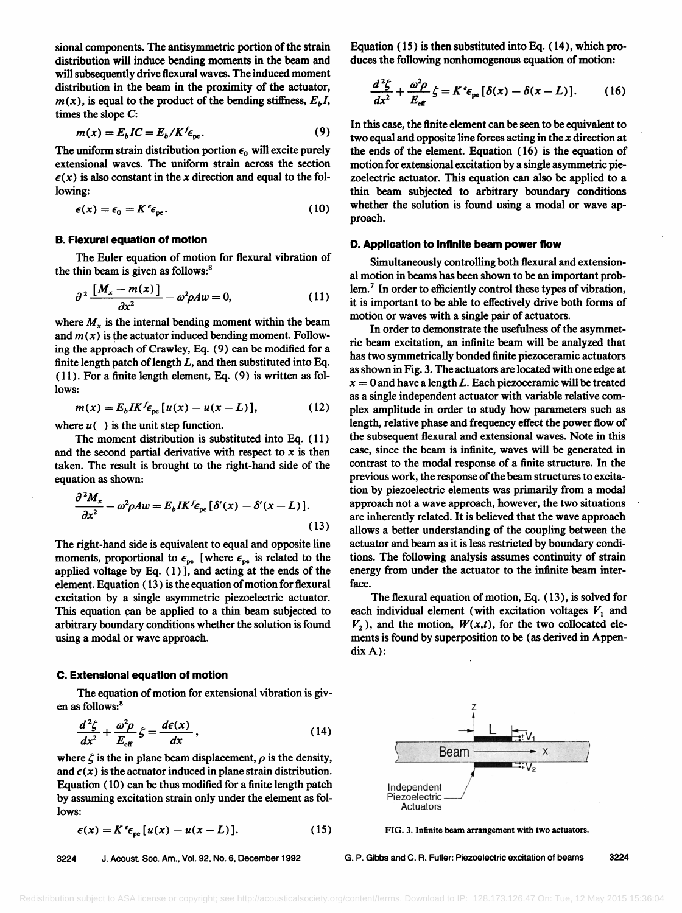**sional components. The antisymmetric portion of the strain distribution will induce bending moments in the beam and will subsequently drive flexural waves. The induced moment distribution in the beam in the proximity of the actuator,**   $m(x)$ , is equal to the product of the bending stiffness,  $E<sub>b</sub>I$ , **times the slope C:** 

$$
m(x) = E_b IC = E_b / K^f \epsilon_{\rm pe}.
$$
 (9)

The uniform strain distribution portion  $\epsilon_0$  will excite purely **extensional waves. The uniform strain across the section**   $\epsilon(x)$  is also constant in the x direction and equal to the fol**lowing:** 

$$
\epsilon(x) = \epsilon_0 = K^e \epsilon_{pe}.
$$
 (10)

## **B. Flexural equation of motion**

**The Euler equation of motion for flexural vibration of the thin beam is given as follows: 8** 

$$
\partial^2 \frac{[M_x - m(x)]}{\partial x^2} - \omega^2 \rho A w = 0, \qquad (11)
$$

where  $M<sub>x</sub>$  is the internal bending moment within the beam and  $m(x)$  is the actuator induced bending moment. Follow**ing the approach of Crawley, Eq. (9) can be modified for a finite length patch of length L, and then substituted into Eq. ( 11 ). For a finite length element, Eq. (9) is written as follows:** 

$$
m(x) = E_b I K^f \epsilon_{pe} [u(x) - u(x - L)], \qquad (12)
$$

where  $u( )$  is the unit step function.

**The moment distribution is substituted into Eq. (11 ) and the second partial derivative with respect to x is then taken. The result is brought to the fight-hand side of the equation as shown:** 

$$
\frac{\partial^2 M_x}{\partial x^2} - \omega^2 \rho A w = E_b I K^f \epsilon_{pe} [\delta'(x) - \delta'(x - L)]. \tag{13}
$$

The right-hand side is equivalent to equal and opposite line moments, proportional to  $\epsilon_{pe}$  [where  $\epsilon_{pe}$  is related to the **applied voltage by Eq. (1)], and acting at the ends of the element. Equation (13) is the equation of motion for flexural excitation by a single asymmetric piezoelectric actuator. This equation can be applied to a thin beam subjected to arbitrary boundary conditions whether the solution is found using a modal or wave approach.** 

#### **C. Extensional equation of motion**

**The equation of motion for extensional vibration is given as follows:8** 

$$
\frac{d^2\zeta}{dx^2} + \frac{\omega^2 \rho}{E_{\text{eff}}} \zeta = \frac{d\epsilon(x)}{dx},\qquad(14)
$$

where  $\zeta$  is the in plane beam displacement,  $\rho$  is the density, and  $\epsilon(x)$  is the actuator induced in plane strain distribution. **Equation (10) can be thus modified for a finite length patch by assuming excitation strain only under the element as follows:** 

$$
\epsilon(x) = K^e \epsilon_{pe} [u(x) - u(x - L)]. \qquad (15)
$$

**Equation (15) is then substituted into Eq. (14), which produces the following nonhomogenous equation of motion:** 

$$
\frac{d^2\zeta}{dx^2} + \frac{\omega^2\rho}{E_{\text{eff}}} \zeta = K^e \epsilon_{\text{pe}} [\delta(x) - \delta(x - L)]. \tag{16}
$$

**In this case, the finite element can be seen to be equivalent to two equal and opposite line forces acting in the x direction at the ends of the element. Equation (16) is the equation of motion for extensional excitation by a single asymmetric piezoelectric actuator. This equation can also be applied to a thin beam subjected to arbitrary boundary conditions whether the solution is found using a modal or wave approach.** 

#### **D. Application to infinite beam power flow**

**Simultaneously controlling both flexural and extensional motion in beams has been shown to be an important problem. 7 In order to efficiently control these types of vibration, it is important to be able to effectively drive both forms of motion or waves with a single pair of actuators.** 

**In order to demonstrate the usefulness of the asymmetric beam excitation, an infinite beam will be analyzed that has two symmetrically bonded finite piezoceramic actuators as shown in Fig. 3. The actuators are located with one edge at**   $x = 0$  and have a length L. Each piezoceramic will be treated **as a single independent actuator with variable relative complex amplitude in order to study how parameters such as length, relative phase and frequency effect the power flow of the subsequent flexural and extensional waves. Note in this case, since the beam is infinite, waves will be generated in contrast to the modal response of a finite structure. In the previous work, the response of the beam structures to excitation by piezoelectric elements was primarily from a modal approach not a wave approach, however, the two situations are inherently related. It is believed that the wave approach allows a better understanding of the coupling between the actuator and beam as it is less restricted by boundary conditions. The following analysis assumes continuity of strain energy from under the actuator to the infinite beam interface.** 

**The flexural equation of motion, Eq. (13), is solved for**  each individual element (with excitation voltages  $V_1$  and  $V_2$ ), and the motion,  $W(x,t)$ , for the two collocated ele**ments is found by superposition to be (as derived in Appendix A):** 



**FIG. 3. Infinite beam arrangement with two actuators.** 

G. P. Gibbs and C. R. Fuller: Piezoelectric excitation of beams 3224

Redistribution subject to ASA license or copyright; see http://acousticalsociety.org/content/terms. Download to IP: 128.173.126.47 On: Tue, 12 May 2015 15:36:04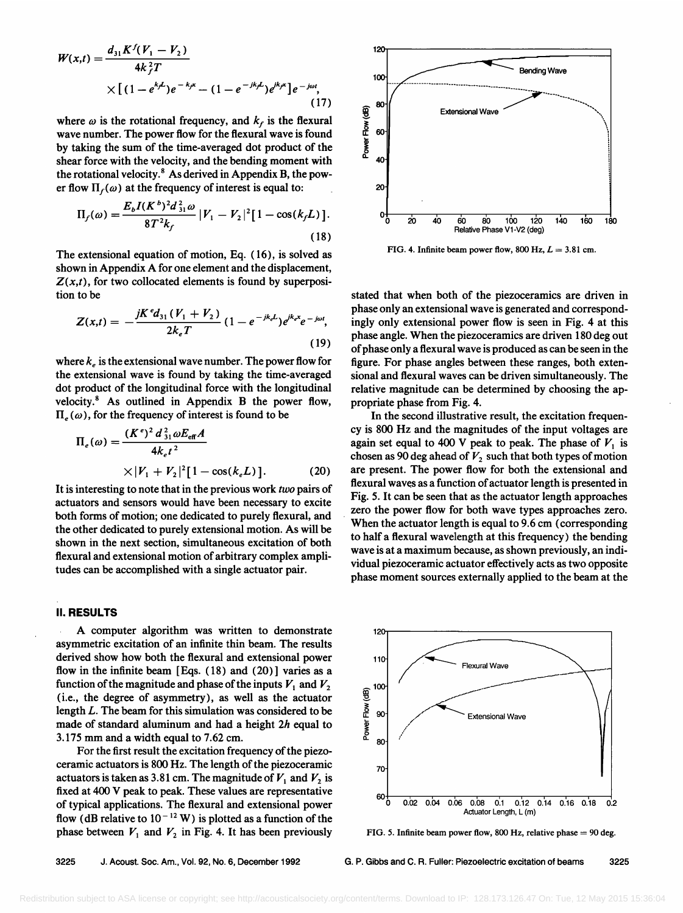$$
W(x,t) = \frac{d_{31}K^{f}(V_1 - V_2)}{4k_f^2T}
$$
  
 
$$
\times [(1 - e^{k_f L})e^{-k_f x} - (1 - e^{-jk_f L})e^{jk_f x}]e^{-j\omega t},
$$
 (17)

where  $\omega$  is the rotational frequency, and  $k_f$  is the flexural **wave number. The power flow for the flexural wave is found by taking the sum of the time-averaged dot product of the shear force with the velocity, and the bending moment with the rotational velocity. 8 As derived in Appendix B, the pow**er flow  $\Pi_f(\omega)$  at the frequency of interest is equal to:

$$
\Pi_f(\omega) = \frac{E_b I(K^b)^2 d_{31}^2 \omega}{8T^2 k_f} |V_1 - V_2|^2 [1 - \cos(k_f L)].
$$
\n(18)

**The extensional equation of motion, Eq. (16), is solved as shown in Appendix A for one element and the displacement, Z(x,t), for two collocated elements is found by superposition to be** 

$$
Z(x,t) = -\frac{jK^{e}d_{31}(V_{1} + V_{2})}{2k_{e}T} (1 - e^{-jk_{e}L})e^{jk_{e}x}e^{-j\omega t},
$$
   
implges on  
phase an phase

where  $k_e$  is the extensional wave number. The power flow for **the extensional wave is found by taking the time-averaged dot product of the longitudinal force with the longitudinal**  velocity.<sup>8</sup> As outlined in Appendix B the power flow,  $\Pi_{\epsilon}(\omega)$ , for the frequency of interest is found to be

$$
\Pi_e(\omega) = \frac{(K^e)^2 d_{31}^2 \omega E_{\text{eff}} A}{4k_e t^2} \times |V_1 + V_2|^2 [1 - \cos(k_e L)].
$$
\n(20)

**It is interesting to note that in the previous work two pairs of actuators and sensors would have been necessary to excite both forms of motion; one dedicated to purely flexural, and the other dedicated to purely extensional motion. As will be shown in the next section, simultaneous excitation of both flexural and extensional motion of arbitrary complex amplitudes can be accomplished with a single actuator pair.** 

## **II. RESULTS**

**A computer algorithm was written to demonstrate asymmetric excitation of an infinite thin beam. The results derived show how both the flexural and extensional power flow in the infinite beam [Eqs. (18) and (20) ] varies as a**  function of the magnitude and phase of the inputs  $V_1$  and  $V_2$ **(i.e., the degree of asymmetry), as well as the actuator length L. The beam for this simulation was considered to be made of standard aluminum and had a height 2h equal to 3.175 mm and a width equal to 7.62 cm.** 

**For the first result the excitation frequency of the piezoceramic actuators is 800 Hz. The length of the piezoceramic**  actuators is taken as 3.81 cm. The magnitude of  $V_1$  and  $V_2$  is **fixed at 400 V peak to peak. These values are representative of typical applications. The flexural and extensional power**  flow (dB relative to  $10^{-12}$  W) is plotted as a function of the phase between  $V_1$  and  $V_2$  in Fig. 4. It has been previously



**FIG. 4. Infinite beam power flow, 800 Hz,**  $L = 3.81$  **cm.** 

**stated that when both of the piezoceramics are driven in phase only an extensional wave is generated and correspondingly only extensional power flow is seen in Fig. 4 at this phase angle. When the piezoceramics are driven 180 deg out of phase only a flexural wave is produced as can be seen in the figure. For phase angles between these ranges, both extensional and flexural waves can be driven simultaneously. The relative magnitude can be determined by choosing the appropriate phase from Fig. 4.** 

**In the second illustrative result, the excitation frequency is 800 Hz and the magnitudes of the input voltages are**  again set equal to 400 V peak to peak. The phase of  $V_1$  is chosen as 90 deg ahead of  $V_2$  such that both types of motion **are present. The power flow for both the extensional and flexural waves as a function of actuator length is presented in Fig. 5. It can be seen that as the actuator length approaches zero the power flow for both wave types approaches zero. When the actuator length is equal to 9.6 cm (corresponding to half a flexural wavelength at this frequency) the bending wave is at a maximum because, as shown previously, an individual piezoceramic actuator effectively acts as two opposite phase moment sources externally applied to the beam at the** 



**FIG. 5. Infinite beam power flow, 800 Hz, relative phase = 90 deg.** 

**3225 J. Acoust. Soc. Am., Vol. 92, No. 6, December 1992 G.P. Gibbs and C. R. Fuller: Piezoelectric excitation of beams 3225**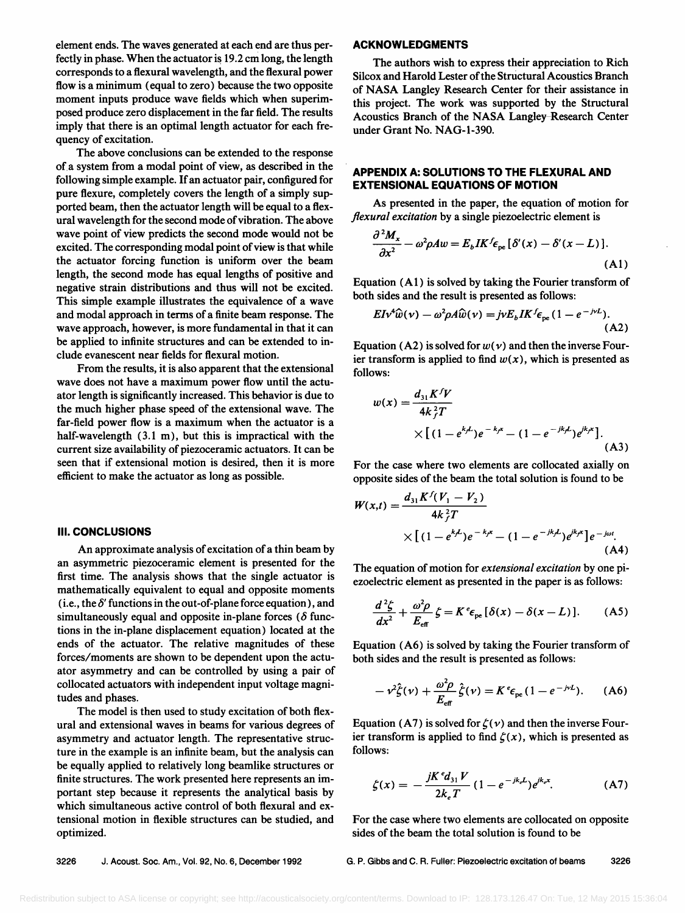**element ends. The waves generated at each end are thus perfectly in phase. When the actuator is 19.2 cm long, the length corresponds to a flexural wavelength, and the flexural power flow is a minimum (equal to zero) because the two opposite moment inputs produce wave fields which when superimposed produce zero displacement in the far field. The results imply that there is an optimal length actuator for each frequency of excitation.** 

**The above conclusions can be extended to the response of a system from a modal point of view, as described in the following simple example. If an actuator pair, configured for pure flexure, completely covers the length of a simply supported beam, then the actuator length will be equal to a flexural wavelength for the second mode of vibration. The above wave point of view predicts the second mode would not be excited. The corresponding modal point of view is that while the actuator forcing function is uniform over the beam length, the second mode has equal lengths of positive and negative strain distributions and thus will not be excited. This simple example illustrates the equivalence of a wave and modal approach in terms of a finite beam response. The wave approach, however, is more fundamental in that it can be applied to infinite structures and can be extended to include evanescent near fields for flexural motion.** 

**From the results, it is also apparent that the extensional wave does not have a maximum power flow until the actuator length is significantly increased. This behavior is due to the much higher phase speed of the extensional wave. The far-field power flow is a maximum when the actuator is a half-wavelength (3.1 m), but this is impractical with the current size availability of piezoceramic actuators. It can be seen that if extensional motion is desired, then it is more efficient to make the actuator as long as possible.** 

## **III. CONCLUSIONS**

**An approximate analysis of excitation of a thin beam by an asymmetric piezoceramic element is presented for the first time. The analysis shows that the single actuator is mathematically equivalent to equal and opposite moments**   $(i.e., the  $\delta'$  functions in the out-of-plane force equation), and$ simultaneously equal and opposite in-plane forces  $(\delta$  func**tions in the in-plane displacement equation) located at the ends of the actuator. The relative magnitudes of these forces/moments are shown to be dependent upon the actuator asymmetry and can be controlled by using a pair of collocated actuators with independent input voltage magnitudes and phases.** 

**The model is then used to study excitation of both flexural and extensional waves in beams for various degrees of asymmetry and actuator length. The representative structure in the example is an infinite beam, but the analysis can be equally applied to relatively long beamlike structures or finite structures. The work presented here represents an important step because it represents the analytical basis by which simultaneous active control of both flexural and extensional motion in flexible structures can be studied, and optimized.** 

# **ACKNOWLEDGMENTS**

**The authors wish to express their appreciation to Rich Silcox and Harold Lester of the Structural Acoustics Branch of NASA Langley Research Center for their assistance in this project. The work was supported by the Structural Acoustics Branch of the NASA Langley Research Center under Grant No. NAG-I-390.** 

# **APPENDIX A: SOLUTIONS TO THE FLEXURAL AND EXTENSIONAL EQUATIONS OF MOTION**

**As presented in the paper, the equation of motion for flexural excitation by a single piezoelectric element is** 

$$
\frac{\partial^2 M_x}{\partial x^2} - \omega^2 \rho A w = E_b I K^f \epsilon_{pe} [\delta'(x) - \delta'(x - L)]. \tag{A1}
$$

**Equation (A 1 ) is solved by taking the Fourier transform of both sides and the result is presented as follows:** 

$$
EIv^4\hat{w}(v) - \omega^2 \rho A \hat{w}(v) = jvE_bIK^f \epsilon_{pe} (1 - e^{-jvL}).
$$
\n(A2)

Equation (A2) is solved for  $w(v)$  and then the inverse Fourier transform is applied to find  $w(x)$ , which is presented as **follows:** 

$$
w(x) = \frac{d_{31} K^f V}{4k_f^2 T}
$$
  
×[(1 - e<sup>k</sup>)e<sup>-k<sup>α</sup></sup> - (1 - e<sup>-jk<sup>k</sup></sup>)e<sup>k<sup>α</sup></sup>]. (A3)

**For the case where two elements are collocated axially on opposite sides of the beam the total solution is found to be** 

$$
W(x,t) = \frac{d_{31}K^{f}(V_1 - V_2)}{4k_f^2T}
$$
  
×[(1 - e<sup>k,L</sup>)e<sup>-k,r</sup> - (1 - e<sup>-jk,L</sup>)e<sup>jk,r</sup>]e<sup>-j\omegat</sup>.  
(A4)

**The equation of motion for extensional excitation by one piezoelectric element as presented in the paper is as follows:** 

$$
\frac{d^2\zeta}{dx^2} + \frac{\omega^2 \rho}{E_{\text{eff}}} \zeta = K^e \epsilon_{\text{pe}} [\delta(x) - \delta(x - L)]. \tag{A5}
$$

**Equation (A6) is solved by taking the Fourier transform of both sides and the result is presented as follows:** 

$$
-\nu^2 \hat{\zeta}(\nu) + \frac{\omega^2 \rho}{E_{\text{eff}}} \hat{\zeta}(\nu) = K^e \epsilon_{\text{pe}} (1 - e^{-j\nu L}). \quad (A6)
$$

Equation (A7) is solved for  $\zeta(v)$  and then the inverse Fourier transform is applied to find  $\zeta(x)$ , which is presented as **follows:** 

$$
\zeta(x) = -\frac{jK^e d_{31} V}{2k_e T} (1 - e^{-jk_e L}) e^{jk_e x}.
$$
 (A7)

**For the case where two elements are collocated on opposite sides of the beam the total solution is found to be** 

**3226 J. Acoust. Soc. Am., Vol. 92, No. 6, December 1992 G.P. Gibbs and C. R. Fuller: Piezoelectric excitation of beams 3226**